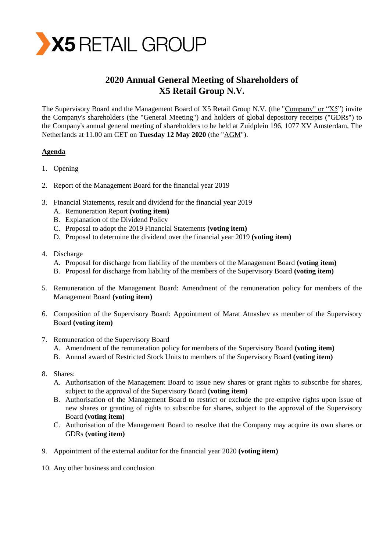

# **2020 Annual General Meeting of Shareholders of X5 Retail Group N.V.**

The Supervisory Board and the Management Board of X5 Retail Group N.V. (the "Company" or "X5") invite the Company's shareholders (the "General Meeting") and holders of global depository receipts ("GDRs") to the Company's annual general meeting of shareholders to be held at Zuidplein 196, 1077 XV Amsterdam, The Netherlands at 11.00 am CET on **Tuesday 12 May 2020** (the "AGM").

# **Agenda**

- 1. Opening
- 2. Report of the Management Board for the financial year 2019
- 3. Financial Statements, result and dividend for the financial year 2019
	- A. Remuneration Report **(voting item)**
	- B. Explanation of the Dividend Policy
	- C. Proposal to adopt the 2019 Financial Statements **(voting item)**
	- D. Proposal to determine the dividend over the financial year 2019 **(voting item)**
- 4. Discharge
	- A. Proposal for discharge from liability of the members of the Management Board **(voting item)**
	- B. Proposal for discharge from liability of the members of the Supervisory Board **(voting item)**
- 5. Remuneration of the Management Board: Amendment of the remuneration policy for members of the Management Board **(voting item)**
- 6. Composition of the Supervisory Board: Appointment of Marat Atnashev as member of the Supervisory Board **(voting item)**
- 7. Remuneration of the Supervisory Board
	- A. Amendment of the remuneration policy for members of the Supervisory Board **(voting item)**
	- B. Annual award of Restricted Stock Units to members of the Supervisory Board **(voting item)**
- 8. Shares:
	- A. Authorisation of the Management Board to issue new shares or grant rights to subscribe for shares, subject to the approval of the Supervisory Board **(voting item)**
	- B. Authorisation of the Management Board to restrict or exclude the pre-emptive rights upon issue of new shares or granting of rights to subscribe for shares, subject to the approval of the Supervisory Board **(voting item)**
	- C. Authorisation of the Management Board to resolve that the Company may acquire its own shares or GDRs **(voting item)**
- 9. Appointment of the external auditor for the financial year 2020 **(voting item)**
- 10. Any other business and conclusion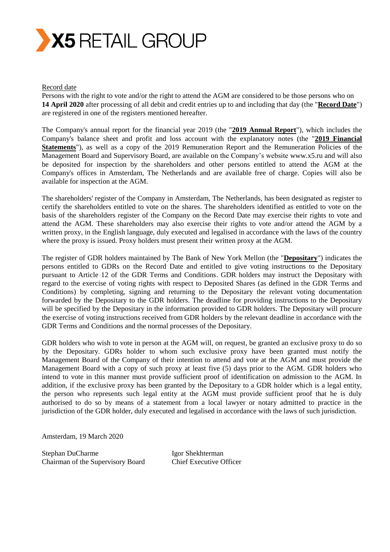

#### Record date

Persons with the right to vote and/or the right to attend the AGM are considered to be those persons who on **14 April 2020** after processing of all debit and credit entries up to and including that day (the "**Record Date**") are registered in one of the registers mentioned hereafter.

The Company's annual report for the financial year 2019 (the "**2019 Annual Report**"), which includes the Company's balance sheet and profit and loss account with the explanatory notes (the "**2019 Financial Statements**"), as well as a copy of the 2019 Remuneration Report and the Remuneration Policies of the Management Board and Supervisory Board, are available on the Company's website [www.x5.ru](http://www.x5.ru/) and will also be deposited for inspection by the shareholders and other persons entitled to attend the AGM at the Company's offices in Amsterdam, The Netherlands and are available free of charge. Copies will also be available for inspection at the AGM.

The shareholders' register of the Company in Amsterdam, The Netherlands, has been designated as register to certify the shareholders entitled to vote on the shares. The shareholders identified as entitled to vote on the basis of the shareholders register of the Company on the Record Date may exercise their rights to vote and attend the AGM. These shareholders may also exercise their rights to vote and/or attend the AGM by a written proxy, in the English language, duly executed and legalised in accordance with the laws of the country where the proxy is issued. Proxy holders must present their written proxy at the AGM.

The register of GDR holders maintained by The Bank of New York Mellon (the "**Depositary**") indicates the persons entitled to GDRs on the Record Date and entitled to give voting instructions to the Depositary pursuant to Article 12 of the GDR Terms and Conditions. GDR holders may instruct the Depositary with regard to the exercise of voting rights with respect to Deposited Shares (as defined in the GDR Terms and Conditions) by completing, signing and returning to the Depositary the relevant voting documentation forwarded by the Depositary to the GDR holders. The deadline for providing instructions to the Depositary will be specified by the Depositary in the information provided to GDR holders. The Depositary will procure the exercise of voting instructions received from GDR holders by the relevant deadline in accordance with the GDR Terms and Conditions and the normal processes of the Depositary.

GDR holders who wish to vote in person at the AGM will, on request, be granted an exclusive proxy to do so by the Depositary. GDRs holder to whom such exclusive proxy have been granted must notify the Management Board of the Company of their intention to attend and vote at the AGM and must provide the Management Board with a copy of such proxy at least five (5) days prior to the AGM. GDR holders who intend to vote in this manner must provide sufficient proof of identification on admission to the AGM. In addition, if the exclusive proxy has been granted by the Depositary to a GDR holder which is a legal entity, the person who represents such legal entity at the AGM must provide sufficient proof that he is duly authorised to do so by means of a statement from a local lawyer or notary admitted to practice in the jurisdiction of the GDR holder, duly executed and legalised in accordance with the laws of such jurisdiction.

Amsterdam, 19 March 2020

Stephan DuCharme Igor Shekhterman Chairman of the Supervisory Board Chief Executive Officer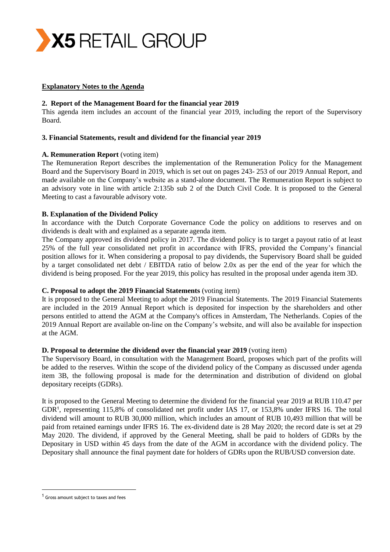

## **Explanatory Notes to the Agenda**

## **2. Report of the Management Board for the financial year 2019**

This agenda item includes an account of the financial year 2019, including the report of the Supervisory Board.

## **3. Financial Statements, result and dividend for the financial year 2019**

#### **A. Remuneration Report** (voting item)

The Remuneration Report describes the implementation of the Remuneration Policy for the Management Board and the Supervisory Board in 2019, which is set out on pages 243- 253 of our 2019 Annual Report, and made available on the Company's website as a stand-alone document. The Remuneration Report is subject to an advisory vote in line with article 2:135b sub 2 of the Dutch Civil Code. It is proposed to the General Meeting to cast a favourable advisory vote.

## **B. Explanation of the Dividend Policy**

In accordance with the Dutch Corporate Governance Code the policy on additions to reserves and on dividends is dealt with and explained as a separate agenda item.

The Company approved its dividend policy in 2017. The dividend policy is to target a payout ratio of at least 25% of the full year consolidated net profit in accordance with IFRS, provided the Company's financial position allows for it. When considering a proposal to pay dividends, the Supervisory Board shall be guided by a target consolidated net debt / EBITDA ratio of below 2.0x as per the end of the year for which the dividend is being proposed. For the year 2019, this policy has resulted in the proposal under agenda item 3D.

## **C. Proposal to adopt the 2019 Financial Statements** (voting item)

It is proposed to the General Meeting to adopt the 2019 Financial Statements. The 2019 Financial Statements are included in the 2019 Annual Report which is deposited for inspection by the shareholders and other persons entitled to attend the AGM at the Company's offices in Amsterdam, The Netherlands. Copies of the 2019 Annual Report are available on-line on the Company's website, and will also be available for inspection at the AGM.

## **D. Proposal to determine the dividend over the financial year 2019** (voting item)

The Supervisory Board, in consultation with the Management Board, proposes which part of the profits will be added to the reserves. Within the scope of the dividend policy of the Company as discussed under agenda item 3B, the following proposal is made for the determination and distribution of dividend on global depositary receipts (GDRs).

It is proposed to the General Meeting to determine the dividend for the financial year 2019 at RUB 110.47 per GDR<sup>1</sup>, representing 115,8% of consolidated net profit under IAS 17, or 153,8% under IFRS 16. The total dividend will amount to RUB 30,000 million, which includes an amount of RUB 10,493 million that will be paid from retained earnings under IFRS 16. The ex-dividend date is 28 May 2020; the record date is set at 29 May 2020. The dividend, if approved by the General Meeting, shall be paid to holders of GDRs by the Depositary in USD within 45 days from the date of the AGM in accordance with the dividend policy. The Depositary shall announce the final payment date for holders of GDRs upon the RUB/USD conversion date.

 $\overline{a}$ 

<sup>&</sup>lt;sup>1</sup> Gross amount subject to taxes and fees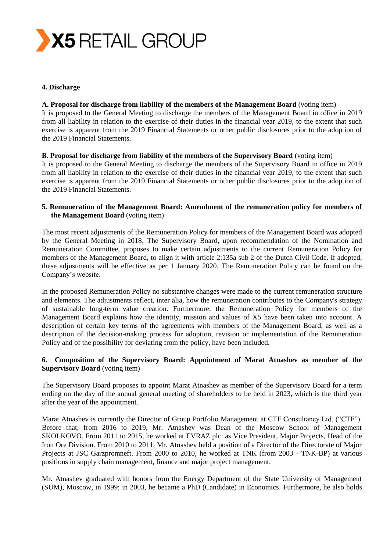

#### **4. Discharge**

#### **A. Proposal for discharge from liability of the members of the Management Board** (voting item)

It is proposed to the General Meeting to discharge the members of the Management Board in office in 2019 from all liability in relation to the exercise of their duties in the financial year 2019, to the extent that such exercise is apparent from the 2019 Financial Statements or other public disclosures prior to the adoption of the 2019 Financial Statements.

## **B. Proposal for discharge from liability of the members of the Supervisory Board** (voting item)

It is proposed to the General Meeting to discharge the members of the Supervisory Board in office in 2019 from all liability in relation to the exercise of their duties in the financial year 2019, to the extent that such exercise is apparent from the 2019 Financial Statements or other public disclosures prior to the adoption of the 2019 Financial Statements.

## **5. Remuneration of the Management Board: Amendment of the remuneration policy for members of the Management Board** (voting item)

The most recent adjustments of the Remuneration Policy for members of the Management Board was adopted by the General Meeting in 2018. The Supervisory Board, upon recommendation of the Nomination and Remuneration Committee, proposes to make certain adjustments to the current Remuneration Policy for members of the Management Board, to align it with article 2:135a sub 2 of the Dutch Civil Code. If adopted, these adjustments will be effective as per 1 January 2020. The Remuneration Policy can be found on the Company's website.

In the proposed Remuneration Policy no substantive changes were made to the current remuneration structure and elements. The adjustments reflect, inter alia, how the remuneration contributes to the Company's strategy of sustainable long-term value creation. Furthermore, the Remuneration Policy for members of the Management Board explains how the identity, mission and values of X5 have been taken into account. A description of certain key terms of the agreements with members of the Management Board, as well as a description of the decision-making process for adoption, revision or implementation of the Remuneration Policy and of the possibility for deviating from the policy, have been included.

# **6. Composition of the Supervisory Board: Appointment of Marat Atnashev as member of the Supervisory Board** (voting item)

The Supervisory Board proposes to appoint Marat Atnashev as member of the Supervisory Board for a term ending on the day of the annual general meeting of shareholders to be held in 2023, which is the third year after the year of the appointment.

Marat Atnashev is currently the Director of Group Portfolio Management at CTF Consultancy Ltd. ("CTF"). Before that, from 2016 to 2019, Mr. Atnashev was Dean of the Moscow School of Management SKOLKOVO. From 2011 to 2015, he worked at EVRAZ plc. as Vice President, Major Projects, Head of the Iron Ore Division. From 2010 to 2011, Mr. Atnashev held a position of a Director of the Directorate of Major Projects at JSC Garzpromneft. From 2000 to 2010, he worked at TNK (from 2003 - TNK-BP) at various positions in supply chain management, finance and major project management.

Mr. Atnashev graduated with honors from the Energy Department of the State University of Management (SUM), Moscow, in 1999; in 2003, he became a PhD (Candidate) in Economics. Furthermore, he also holds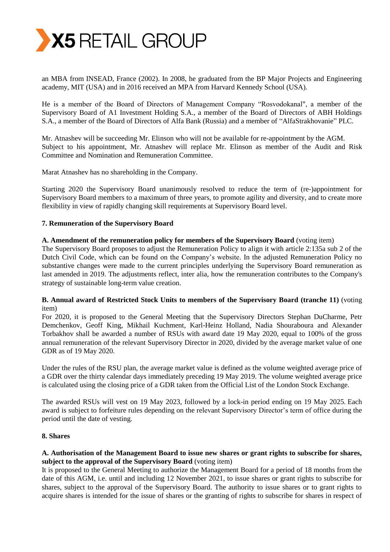

an MBA from INSEAD, France (2002). In 2008, he graduated from the BP Major Projects and Engineering academy, MIT (USA) and in 2016 received an MPA from Harvard Kennedy School (USA).

He is a member of the Board of Directors of Management Company "Rosvodokanal", a member of the Supervisory Board of A1 Investment Holding S.A., a member of the Board of Directors of ABH Holdings S.A., a member of the Board of Directors of Alfa Bank (Russia) and a member of "AlfaStrakhovanie" PLC.

Mr. Atnashev will be succeeding Mr. Elinson who will not be available for re-appointment by the AGM. Subject to his appointment, Mr. Atnashev will replace Mr. Elinson as member of the Audit and Risk Committee and Nomination and Remuneration Committee.

Marat Atnashev has no shareholding in the Company.

Starting 2020 the Supervisory Board unanimously resolved to reduce the term of (re-)appointment for Supervisory Board members to a maximum of three years, to promote agility and diversity, and to create more flexibility in view of rapidly changing skill requirements at Supervisory Board level.

#### **7. Remuneration of the Supervisory Board**

#### **A. Amendment of the remuneration policy for members of the Supervisory Board** (voting item)

The Supervisory Board proposes to adjust the Remuneration Policy to align it with article 2:135a sub 2 of the Dutch Civil Code, which can be found on the Company's website. In the adjusted Remuneration Policy no substantive changes were made to the current principles underlying the Supervisory Board remuneration as last amended in 2019. The adjustments reflect, inter alia, how the remuneration contributes to the Company's strategy of sustainable long-term value creation.

## **B. Annual award of Restricted Stock Units to members of the Supervisory Board (tranche 11)** (voting item)

For 2020, it is proposed to the General Meeting that the Supervisory Directors Stephan DuCharme, Petr Demchenkov, Geoff King, Mikhail Kuchment, Karl-Heinz Holland, Nadia Shouraboura and Alexander Torbakhov shall be awarded a number of RSUs with award date 19 May 2020, equal to 100% of the gross annual remuneration of the relevant Supervisory Director in 2020, divided by the average market value of one GDR as of 19 May 2020.

Under the rules of the RSU plan, the average market value is defined as the volume weighted average price of a GDR over the thirty calendar days immediately preceding 19 May 2019. The volume weighted average price is calculated using the closing price of a GDR taken from the Official List of the London Stock Exchange.

The awarded RSUs will vest on 19 May 2023, followed by a lock-in period ending on 19 May 2025. Each award is subject to forfeiture rules depending on the relevant Supervisory Director's term of office during the period until the date of vesting.

## **8. Shares**

## **A. Authorisation of the Management Board to issue new shares or grant rights to subscribe for shares, subject to the approval of the Supervisory Board** (voting item)

It is proposed to the General Meeting to authorize the Management Board for a period of 18 months from the date of this AGM, i.e. until and including 12 November 2021, to issue shares or grant rights to subscribe for shares, subject to the approval of the Supervisory Board. The authority to issue shares or to grant rights to acquire shares is intended for the issue of shares or the granting of rights to subscribe for shares in respect of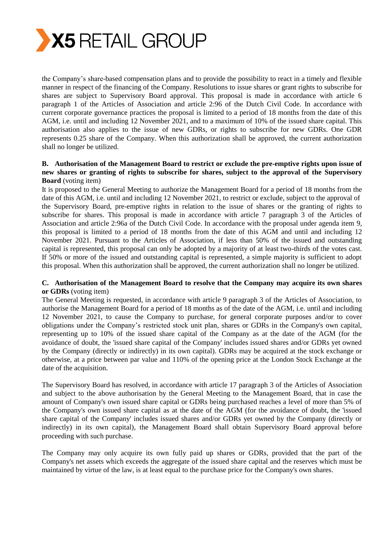

the Company's share-based compensation plans and to provide the possibility to react in a timely and flexible manner in respect of the financing of the Company. Resolutions to issue shares or grant rights to subscribe for shares are subject to Supervisory Board approval. This proposal is made in accordance with article 6 paragraph 1 of the Articles of Association and article 2:96 of the Dutch Civil Code. In accordance with current corporate governance practices the proposal is limited to a period of 18 months from the date of this AGM, i.e. until and including 12 November 2021, and to a maximum of 10% of the issued share capital. This authorisation also applies to the issue of new GDRs, or rights to subscribe for new GDRs. One GDR represents 0.25 share of the Company. When this authorization shall be approved, the current authorization shall no longer be utilized.

# **B. Authorisation of the Management Board to restrict or exclude the pre-emptive rights upon issue of new shares or granting of rights to subscribe for shares, subject to the approval of the Supervisory Board** (voting item)

It is proposed to the General Meeting to authorize the Management Board for a period of 18 months from the date of this AGM, i.e. until and including 12 November 2021, to restrict or exclude, subject to the approval of the Supervisory Board, pre-emptive rights in relation to the issue of shares or the granting of rights to subscribe for shares. This proposal is made in accordance with article 7 paragraph 3 of the Articles of Association and article 2:96a of the Dutch Civil Code. In accordance with the proposal under agenda item 9, this proposal is limited to a period of 18 months from the date of this AGM and until and including 12 November 2021. Pursuant to the Articles of Association, if less than 50% of the issued and outstanding capital is represented, this proposal can only be adopted by a majority of at least two-thirds of the votes cast. If 50% or more of the issued and outstanding capital is represented, a simple majority is sufficient to adopt this proposal. When this authorization shall be approved, the current authorization shall no longer be utilized.

## **C. Authorisation of the Management Board to resolve that the Company may acquire its own shares or GDRs** (voting item)

The General Meeting is requested, in accordance with article 9 paragraph 3 of the Articles of Association, to authorise the Management Board for a period of 18 months as of the date of the AGM, i.e. until and including 12 November 2021, to cause the Company to purchase, for general corporate purposes and/or to cover obligations under the Company's restricted stock unit plan, shares or GDRs in the Company's own capital, representing up to 10% of the issued share capital of the Company as at the date of the AGM (for the avoidance of doubt, the 'issued share capital of the Company' includes issued shares and/or GDRs yet owned by the Company (directly or indirectly) in its own capital). GDRs may be acquired at the stock exchange or otherwise, at a price between par value and 110% of the opening price at the London Stock Exchange at the date of the acquisition.

The Supervisory Board has resolved, in accordance with article 17 paragraph 3 of the Articles of Association and subject to the above authorisation by the General Meeting to the Management Board, that in case the amount of Company's own issued share capital or GDRs being purchased reaches a level of more than 5% of the Company's own issued share capital as at the date of the AGM (for the avoidance of doubt, the 'issued share capital of the Company' includes issued shares and/or GDRs yet owned by the Company (directly or indirectly) in its own capital), the Management Board shall obtain Supervisory Board approval before proceeding with such purchase.

The Company may only acquire its own fully paid up shares or GDRs, provided that the part of the Company's net assets which exceeds the aggregate of the issued share capital and the reserves which must be maintained by virtue of the law, is at least equal to the purchase price for the Company's own shares.